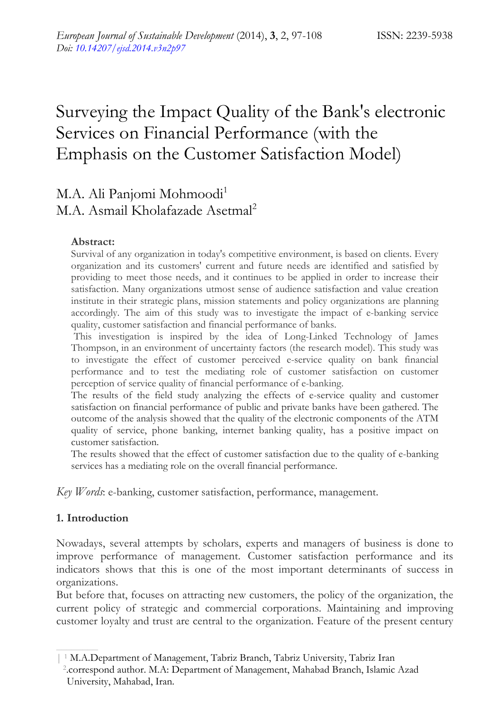# Surveying the Impact Quality of the Bank's electronic Services on Financial Performance (with the Emphasis on the Customer Satisfaction Model)

## M.A. Ali Panjomi Mohmoodi<sup>1</sup> M.A. Asmail Kholafazade Asetmal<sup>2</sup>

## **Abstract:**

Survival of any organization in today's competitive environment, is based on clients. Every organization and its customers' current and future needs are identified and satisfied by providing to meet those needs, and it continues to be applied in order to increase their satisfaction. Many organizations utmost sense of audience satisfaction and value creation institute in their strategic plans, mission statements and policy organizations are planning accordingly. The aim of this study was to investigate the impact of e-banking service quality, customer satisfaction and financial performance of banks.

 This investigation is inspired by the idea of Long-Linked Technology of James Thompson, in an environment of uncertainty factors (the research model). This study was to investigate the effect of customer perceived e-service quality on bank financial performance and to test the mediating role of customer satisfaction on customer perception of service quality of financial performance of e-banking.

The results of the field study analyzing the effects of e-service quality and customer satisfaction on financial performance of public and private banks have been gathered. The outcome of the analysis showed that the quality of the electronic components of the ATM quality of service, phone banking, internet banking quality, has a positive impact on customer satisfaction.

The results showed that the effect of customer satisfaction due to the quality of e-banking services has a mediating role on the overall financial performance.

*Key Words*: e-banking, customer satisfaction, performance, management.

## **1. Introduction**

Nowadays, several attempts by scholars, experts and managers of business is done to improve performance of management. Customer satisfaction performance and its indicators shows that this is one of the most important determinants of success in organizations.

But before that, focuses on attracting new customers, the policy of the organization, the current policy of strategic and commercial corporations. Maintaining and improving customer loyalty and trust are central to the organization. Feature of the present century

<sup>| 1</sup> M.A.Department of Management, Tabriz Branch, Tabriz University, Tabriz Iran 2.correspond author. M.A: Department of Management, Mahabad Branch, Islamic Azad University, Mahabad, Iran.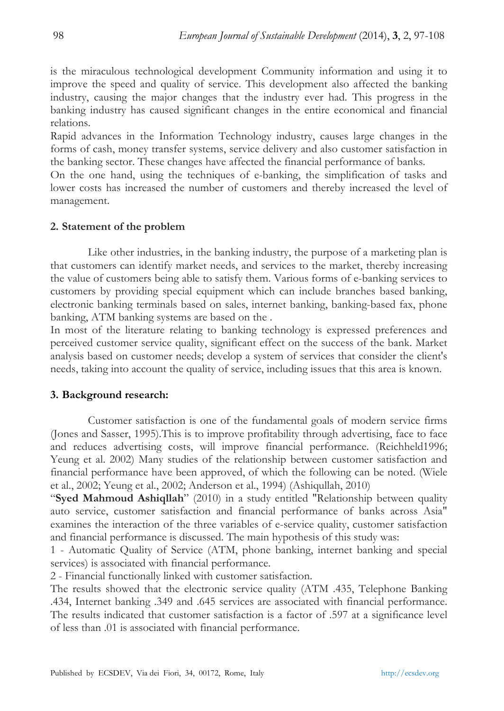is the miraculous technological development Community information and using it to improve the speed and quality of service. This development also affected the banking industry, causing the major changes that the industry ever had. This progress in the banking industry has caused significant changes in the entire economical and financial relations.

Rapid advances in the Information Technology industry, causes large changes in the forms of cash, money transfer systems, service delivery and also customer satisfaction in the banking sector. These changes have affected the financial performance of banks.

On the one hand, using the techniques of e-banking, the simplification of tasks and lower costs has increased the number of customers and thereby increased the level of management.

## **2. Statement of the problem**

Like other industries, in the banking industry, the purpose of a marketing plan is that customers can identify market needs, and services to the market, thereby increasing the value of customers being able to satisfy them. Various forms of e-banking services to customers by providing special equipment which can include branches based banking, electronic banking terminals based on sales, internet banking, banking-based fax, phone banking, ATM banking systems are based on the .

In most of the literature relating to banking technology is expressed preferences and perceived customer service quality, significant effect on the success of the bank. Market analysis based on customer needs; develop a system of services that consider the client's needs, taking into account the quality of service, including issues that this area is known.

## **3. Background research:**

Customer satisfaction is one of the fundamental goals of modern service firms (Jones and Sasser, 1995).This is to improve profitability through advertising, face to face and reduces advertising costs, will improve financial performance. (Reichheld1996; Yeung et al. 2002) Many studies of the relationship between customer satisfaction and financial performance have been approved, of which the following can be noted. (Wiele et al., 2002; Yeung et al., 2002; Anderson et al., 1994) (Ashiqullah, 2010)

"**Syed Mahmoud Ashiqllah**" (2010) in a study entitled "Relationship between quality auto service, customer satisfaction and financial performance of banks across Asia" examines the interaction of the three variables of e-service quality, customer satisfaction and financial performance is discussed. The main hypothesis of this study was:

1 - Automatic Quality of Service (ATM, phone banking, internet banking and special services) is associated with financial performance.

2 - Financial functionally linked with customer satisfaction.

The results showed that the electronic service quality (ATM .435, Telephone Banking .434, Internet banking .349 and .645 services are associated with financial performance. The results indicated that customer satisfaction is a factor of .597 at a significance level of less than .01 is associated with financial performance.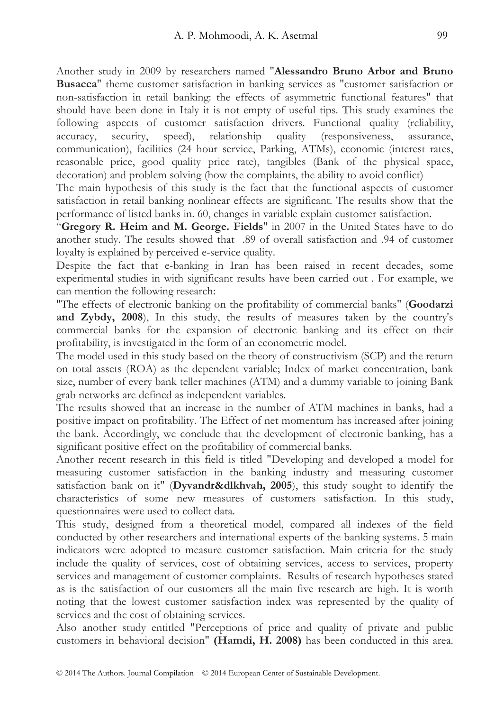Another study in 2009 by researchers named "**Alessandro Bruno Arbor and Bruno Busacca**" theme customer satisfaction in banking services as "customer satisfaction or non-satisfaction in retail banking: the effects of asymmetric functional features" that should have been done in Italy it is not empty of useful tips. This study examines the following aspects of customer satisfaction drivers. Functional quality (reliability, accuracy, security, speed), relationship quality (responsiveness, assurance, communication), facilities (24 hour service, Parking, ATMs), economic (interest rates, reasonable price, good quality price rate), tangibles (Bank of the physical space, decoration) and problem solving (how the complaints, the ability to avoid conflict)

The main hypothesis of this study is the fact that the functional aspects of customer satisfaction in retail banking nonlinear effects are significant. The results show that the performance of listed banks in. 60, changes in variable explain customer satisfaction.

"**Gregory R. Heim and M. George. Fields**" in 2007 in the United States have to do another study. The results showed that .89 of overall satisfaction and .94 of customer loyalty is explained by perceived e-service quality.

Despite the fact that e-banking in Iran has been raised in recent decades, some experimental studies in with significant results have been carried out . For example, we can mention the following research:

"The effects of electronic banking on the profitability of commercial banks" (**Goodarzi and Zybdy, 2008**), In this study, the results of measures taken by the country's commercial banks for the expansion of electronic banking and its effect on their profitability, is investigated in the form of an econometric model.

The model used in this study based on the theory of constructivism (SCP) and the return on total assets (ROA) as the dependent variable; Index of market concentration, bank size, number of every bank teller machines (ATM) and a dummy variable to joining Bank grab networks are defined as independent variables.

The results showed that an increase in the number of ATM machines in banks, had a positive impact on profitability. The Effect of net momentum has increased after joining the bank. Accordingly, we conclude that the development of electronic banking, has a significant positive effect on the profitability of commercial banks.

Another recent research in this field is titled "Developing and developed a model for measuring customer satisfaction in the banking industry and measuring customer satisfaction bank on it" (**Dyvandr&dlkhvah, 2005**), this study sought to identify the characteristics of some new measures of customers satisfaction. In this study, questionnaires were used to collect data.

This study, designed from a theoretical model, compared all indexes of the field conducted by other researchers and international experts of the banking systems. 5 main indicators were adopted to measure customer satisfaction. Main criteria for the study include the quality of services, cost of obtaining services, access to services, property services and management of customer complaints. Results of research hypotheses stated as is the satisfaction of our customers all the main five research are high. It is worth noting that the lowest customer satisfaction index was represented by the quality of services and the cost of obtaining services.

Also another study entitled "Perceptions of price and quality of private and public customers in behavioral decision" **(Hamdi, H. 2008)** has been conducted in this area.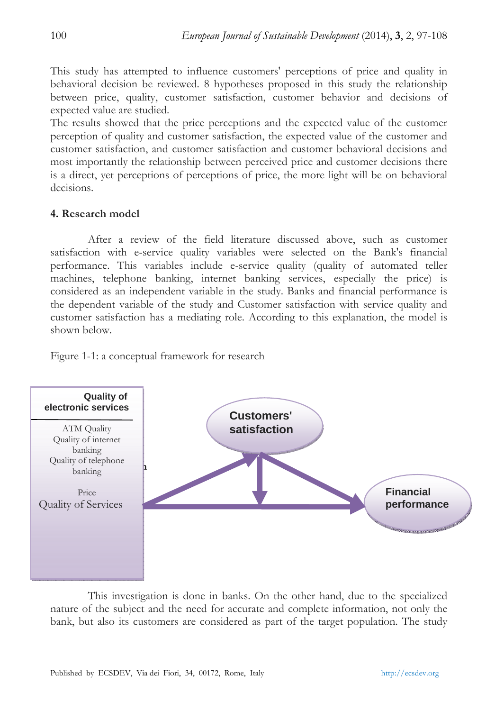This study has attempted to influence customers' perceptions of price and quality in behavioral decision be reviewed. 8 hypotheses proposed in this study the relationship between price, quality, customer satisfaction, customer behavior and decisions of expected value are studied.

The results showed that the price perceptions and the expected value of the customer perception of quality and customer satisfaction, the expected value of the customer and customer satisfaction, and customer satisfaction and customer behavioral decisions and most importantly the relationship between perceived price and customer decisions there is a direct, yet perceptions of perceptions of price, the more light will be on behavioral decisions.

## **4. Research model**

After a review of the field literature discussed above, such as customer satisfaction with e-service quality variables were selected on the Bank's financial performance. This variables include e-service quality (quality of automated teller machines, telephone banking, internet banking services, especially the price) is considered as an independent variable in the study. Banks and financial performance is the dependent variable of the study and Customer satisfaction with service quality and customer satisfaction has a mediating role. According to this explanation, the model is shown below.

Figure 1-1: a conceptual framework for research



This investigation is done in banks. On the other hand, due to the specialized nature of the subject and the need for accurate and complete information, not only the bank, but also its customers are considered as part of the target population. The study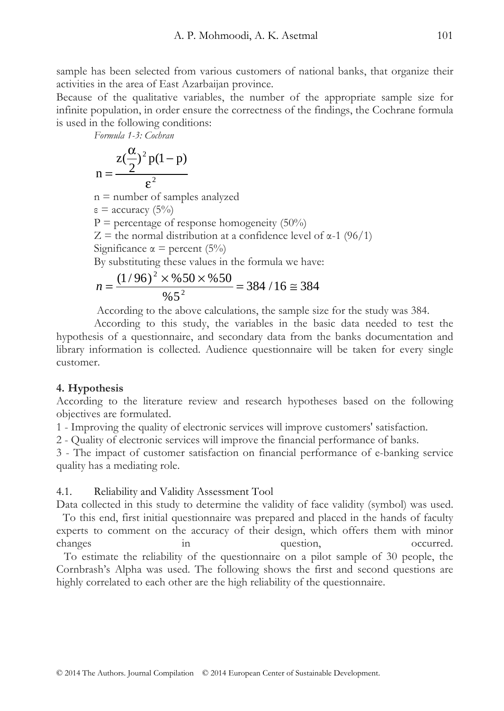sample has been selected from various customers of national banks, that organize their activities in the area of East Azarbaijan province.

Because of the qualitative variables, the number of the appropriate sample size for infinite population, in order ensure the correctness of the findings, the Cochrane formula is used in the following conditions:

*Formula 1-3: Cochran* 

$$
n = \frac{z(\frac{\alpha}{2})^2 p(1-p)}{\epsilon^2}
$$

n = number of samples analyzed

ε = accuracy (5%)

 $P =$  percentage of response homogeneity (50%)

 $Z =$  the normal distribution at a confidence level of  $\alpha$ -1 (96/1)

Significance  $\alpha$  = percent (5%)

By substituting these values in the formula we have:

$$
n = \frac{(1/96)^2 \times 9650 \times 9650}{965^2} = 384 / 16 \approx 384
$$

According to the above calculations, the sample size for the study was 384.

According to this study, the variables in the basic data needed to test the hypothesis of a questionnaire, and secondary data from the banks documentation and library information is collected. Audience questionnaire will be taken for every single customer.

## **4. Hypothesis**

According to the literature review and research hypotheses based on the following objectives are formulated.

1 - Improving the quality of electronic services will improve customers' satisfaction.

2 - Quality of electronic services will improve the financial performance of banks.

3 - The impact of customer satisfaction on financial performance of e-banking service quality has a mediating role.

## 4.1. Reliability and Validity Assessment Tool

Data collected in this study to determine the validity of face validity (symbol) was used. To this end, first initial questionnaire was prepared and placed in the hands of faculty experts to comment on the accuracy of their design, which offers them with minor changes in question, occurred. To estimate the reliability of the questionnaire on a pilot sample of 30 people, the Cornbrash's Alpha was used. The following shows the first and second questions are

highly correlated to each other are the high reliability of the questionnaire.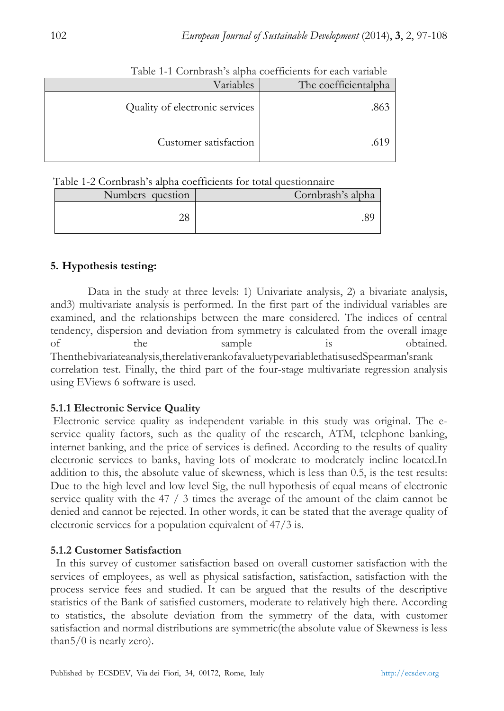| Variables                      | The coefficientalpha |
|--------------------------------|----------------------|
| Quality of electronic services | .863                 |
| Customer satisfaction          | .01                  |

Table 1-1 Cornbrash's alpha coefficients for each variable

Table 1-2 Cornbrash's alpha coefficients for total questionnaire

| Numbers question | Cornbrash's alpha |
|------------------|-------------------|
| າດ               |                   |

## **5. Hypothesis testing:**

Data in the study at three levels: 1) Univariate analysis, 2) a bivariate analysis, and3) multivariate analysis is performed. In the first part of the individual variables are examined, and the relationships between the mare considered. The indices of central tendency, dispersion and deviation from symmetry is calculated from the overall image of the sample is obtained. Thenthebivariateanalysis,therelativerankofavaluetypevariablethatisusedSpearman'srank correlation test. Finally, the third part of the four-stage multivariate regression analysis using EViews 6 software is used.

## **5.1.1 Electronic Service Quality**

 Electronic service quality as independent variable in this study was original. The eservice quality factors, such as the quality of the research, ATM, telephone banking, internet banking, and the price of services is defined. According to the results of quality electronic services to banks, having lots of moderate to moderately incline located.In addition to this, the absolute value of skewness, which is less than 0.5, is the test results: Due to the high level and low level Sig, the null hypothesis of equal means of electronic service quality with the 47 / 3 times the average of the amount of the claim cannot be denied and cannot be rejected. In other words, it can be stated that the average quality of electronic services for a population equivalent of 47/3 is.

## **5.1.2 Customer Satisfaction**

 In this survey of customer satisfaction based on overall customer satisfaction with the services of employees, as well as physical satisfaction, satisfaction, satisfaction with the process service fees and studied. It can be argued that the results of the descriptive statistics of the Bank of satisfied customers, moderate to relatively high there. According to statistics, the absolute deviation from the symmetry of the data, with customer satisfaction and normal distributions are symmetric(the absolute value of Skewness is less than $5/0$  is nearly zero).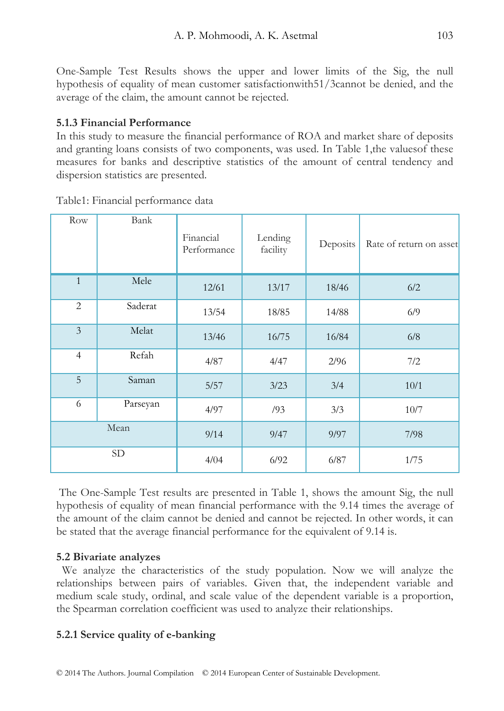One-Sample Test Results shows the upper and lower limits of the Sig, the null hypothesis of equality of mean customer satisfactionwith51/3cannot be denied, and the average of the claim, the amount cannot be rejected.

## **5.1.3 Financial Performance**

In this study to measure the financial performance of ROA and market share of deposits and granting loans consists of two components, was used. In Table 1,the valuesof these measures for banks and descriptive statistics of the amount of central tendency and dispersion statistics are presented.

| Row            | Bank     | Financial<br>Performance | Lending<br>facility | Deposits | Rate of return on asset |  |
|----------------|----------|--------------------------|---------------------|----------|-------------------------|--|
| $\mathbf{1}$   | Mele     | 12/61                    | 13/17               | 18/46    | 6/2                     |  |
| $\overline{2}$ | Saderat  | 13/54                    | 18/85               | 14/88    | 6/9                     |  |
| $\mathfrak{Z}$ | Melat    | 13/46                    | 16/75               | 16/84    | 6/8                     |  |
| $\overline{4}$ | Refah    | 4/87                     | 4/47                | 2/96     | 7/2                     |  |
| 5              | Saman    | 5/57                     | 3/23                | 3/4      | 10/1                    |  |
| 6              | Parseyan | 4/97                     | /93                 | 3/3      | $10/7$                  |  |
|                | Mean     | 9/14                     | 9/47                | 9/97     | 7/98                    |  |
|                | SD       | 4/04                     | 6/92                | 6/87     | 1/75                    |  |

Table1: Financial performance data

 The One-Sample Test results are presented in Table 1, shows the amount Sig, the null hypothesis of equality of mean financial performance with the 9.14 times the average of the amount of the claim cannot be denied and cannot be rejected. In other words, it can be stated that the average financial performance for the equivalent of 9.14 is.

## **5.2 Bivariate analyzes**

 We analyze the characteristics of the study population. Now we will analyze the relationships between pairs of variables. Given that, the independent variable and medium scale study, ordinal, and scale value of the dependent variable is a proportion, the Spearman correlation coefficient was used to analyze their relationships.

## **5.2.1 Service quality of e-banking**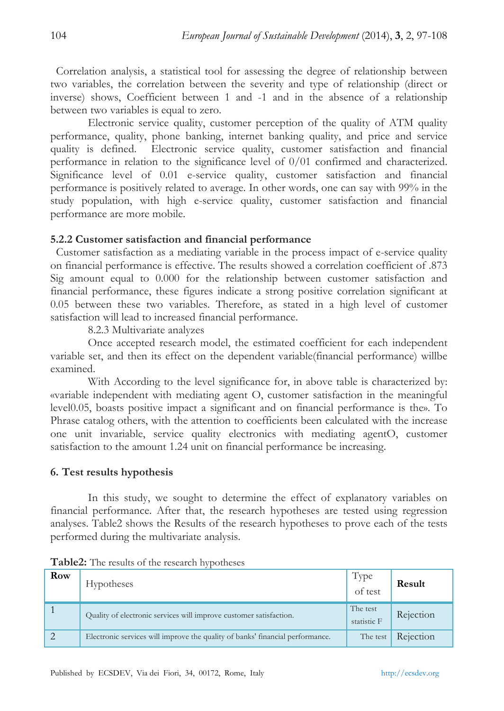Correlation analysis, a statistical tool for assessing the degree of relationship between two variables, the correlation between the severity and type of relationship (direct or inverse) shows, Coefficient between 1 and -1 and in the absence of a relationship between two variables is equal to zero.

Electronic service quality, customer perception of the quality of ATM quality performance, quality, phone banking, internet banking quality, and price and service quality is defined. Electronic service quality, customer satisfaction and financial performance in relation to the significance level of 0/01 confirmed and characterized. Significance level of 0.01 e-service quality, customer satisfaction and financial performance is positively related to average. In other words, one can say with 99% in the study population, with high e-service quality, customer satisfaction and financial performance are more mobile.

#### **5.2.2 Customer satisfaction and financial performance**

 Customer satisfaction as a mediating variable in the process impact of e-service quality on financial performance is effective. The results showed a correlation coefficient of .873 Sig amount equal to 0.000 for the relationship between customer satisfaction and financial performance, these figures indicate a strong positive correlation significant at 0.05 between these two variables. Therefore, as stated in a high level of customer satisfaction will lead to increased financial performance.

8.2.3 Multivariate analyzes

Once accepted research model, the estimated coefficient for each independent variable set, and then its effect on the dependent variable(financial performance) willbe examined.

With According to the level significance for, in above table is characterized by: «variable independent with mediating agent O, customer satisfaction in the meaningful level0.05, boasts positive impact a significant and on financial performance is the». To Phrase catalog others, with the attention to coefficients been calculated with the increase one unit invariable, service quality electronics with mediating agentO, customer satisfaction to the amount 1.24 unit on financial performance be increasing.

## **6. Test results hypothesis**

In this study, we sought to determine the effect of explanatory variables on financial performance. After that, the research hypotheses are tested using regression analyses. Table2 shows the Results of the research hypotheses to prove each of the tests performed during the multivariate analysis.

| Row | <b>Hypotheses</b>                                                             | Type<br>of test         | Result    |
|-----|-------------------------------------------------------------------------------|-------------------------|-----------|
|     | Quality of electronic services will improve customer satisfaction.            | The test<br>statistic F | Rejection |
|     | Electronic services will improve the quality of banks' financial performance. | The test                | Rejection |

**Table2:** The results of the research hypotheses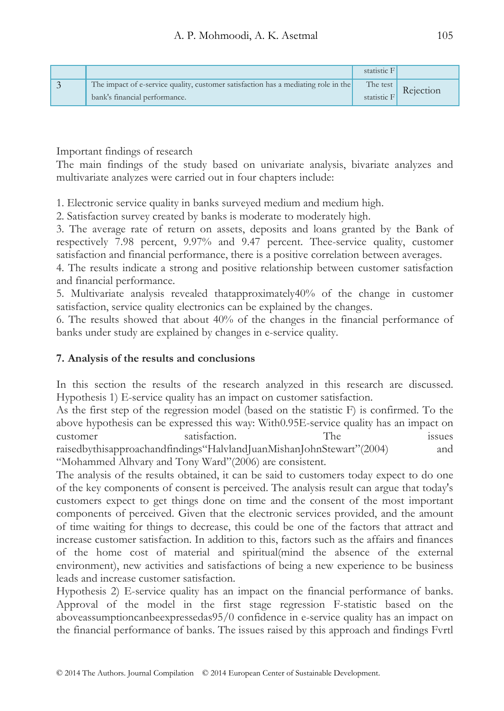|                                                                                                                     | statistic F |                    |
|---------------------------------------------------------------------------------------------------------------------|-------------|--------------------|
| The impact of e-service quality, customer satisfaction has a mediating role in the<br>bank's financial performance. | statistic F | The test Rejection |

Important findings of research

The main findings of the study based on univariate analysis, bivariate analyzes and multivariate analyzes were carried out in four chapters include:

1. Electronic service quality in banks surveyed medium and medium high.

2. Satisfaction survey created by banks is moderate to moderately high.

3. The average rate of return on assets, deposits and loans granted by the Bank of respectively 7.98 percent, 9.97% and 9.47 percent. Thee-service quality, customer satisfaction and financial performance, there is a positive correlation between averages.

4. The results indicate a strong and positive relationship between customer satisfaction and financial performance.

5. Multivariate analysis revealed thatapproximately40% of the change in customer satisfaction, service quality electronics can be explained by the changes.

6. The results showed that about 40% of the changes in the financial performance of banks under study are explained by changes in e-service quality.

## **7. Analysis of the results and conclusions**

In this section the results of the research analyzed in this research are discussed. Hypothesis 1) E-service quality has an impact on customer satisfaction.

As the first step of the regression model (based on the statistic F) is confirmed. To the above hypothesis can be expressed this way: With0.95E-service quality has an impact on customer satisfaction. The issues raisedbythisapproachandfindings"HalvlandJuanMishanJohnStewart"(2004) and "Mohammed Alhvary and Tony Ward"(2006) are consistent.

The analysis of the results obtained, it can be said to customers today expect to do one of the key components of consent is perceived. The analysis result can argue that today's customers expect to get things done on time and the consent of the most important components of perceived. Given that the electronic services provided, and the amount of time waiting for things to decrease, this could be one of the factors that attract and increase customer satisfaction. In addition to this, factors such as the affairs and finances of the home cost of material and spiritual(mind the absence of the external environment), new activities and satisfactions of being a new experience to be business leads and increase customer satisfaction.

Hypothesis 2) E-service quality has an impact on the financial performance of banks. Approval of the model in the first stage regression F-statistic based on the aboveassumptioncanbeexpressedas95/0 confidence in e-service quality has an impact on the financial performance of banks. The issues raised by this approach and findings Fvrtl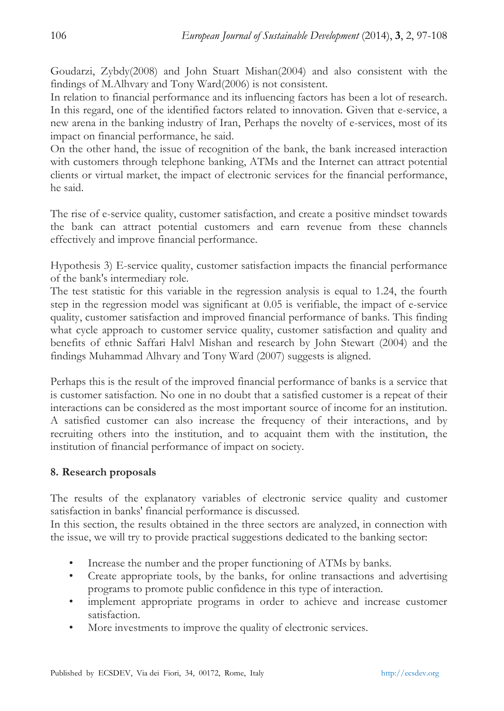Goudarzi, Zybdy(2008) and John Stuart Mishan(2004) and also consistent with the findings of M.Alhvary and Tony Ward(2006) is not consistent.

In relation to financial performance and its influencing factors has been a lot of research. In this regard, one of the identified factors related to innovation. Given that e-service, a new arena in the banking industry of Iran, Perhaps the novelty of e-services, most of its impact on financial performance, he said.

On the other hand, the issue of recognition of the bank, the bank increased interaction with customers through telephone banking, ATMs and the Internet can attract potential clients or virtual market, the impact of electronic services for the financial performance, he said.

The rise of e-service quality, customer satisfaction, and create a positive mindset towards the bank can attract potential customers and earn revenue from these channels effectively and improve financial performance.

Hypothesis 3) E-service quality, customer satisfaction impacts the financial performance of the bank's intermediary role.

The test statistic for this variable in the regression analysis is equal to 1.24, the fourth step in the regression model was significant at 0.05 is verifiable, the impact of e-service quality, customer satisfaction and improved financial performance of banks. This finding what cycle approach to customer service quality, customer satisfaction and quality and benefits of ethnic Saffari Halvl Mishan and research by John Stewart (2004) and the findings Muhammad Alhvary and Tony Ward (2007) suggests is aligned.

Perhaps this is the result of the improved financial performance of banks is a service that is customer satisfaction. No one in no doubt that a satisfied customer is a repeat of their interactions can be considered as the most important source of income for an institution. A satisfied customer can also increase the frequency of their interactions, and by recruiting others into the institution, and to acquaint them with the institution, the institution of financial performance of impact on society.

## **8. Research proposals**

The results of the explanatory variables of electronic service quality and customer satisfaction in banks' financial performance is discussed.

In this section, the results obtained in the three sectors are analyzed, in connection with the issue, we will try to provide practical suggestions dedicated to the banking sector:

- Increase the number and the proper functioning of ATMs by banks.
- Create appropriate tools, by the banks, for online transactions and advertising programs to promote public confidence in this type of interaction.
- implement appropriate programs in order to achieve and increase customer satisfaction.
- More investments to improve the quality of electronic services.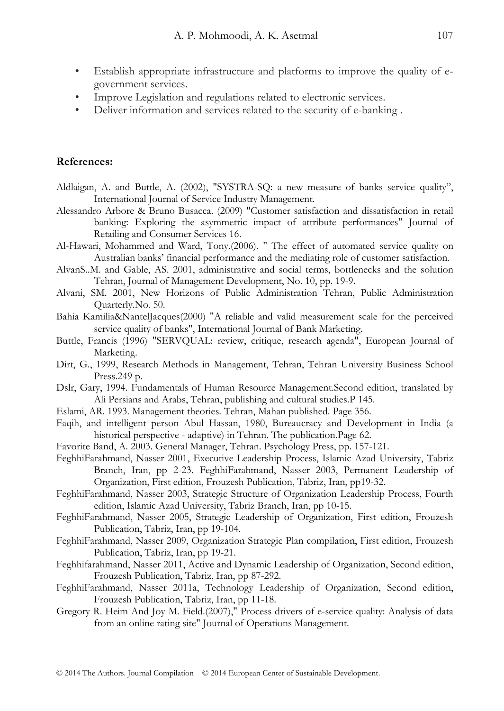- Establish appropriate infrastructure and platforms to improve the quality of egovernment services.
- Improve Legislation and regulations related to electronic services.
- Deliver information and services related to the security of e-banking .

#### **References:**

- Aldlaigan, A. and Buttle, A. (2002), "SYSTRA-SQ: a new measure of banks service quality", International Journal of Service Industry Management.
- Alessandro Arbore & Bruno Busacca. (2009) "Customer satisfaction and dissatisfaction in retail banking: Exploring the asymmetric impact of attribute performances" Journal of Retailing and Consumer Services 16.
- Al-Hawari, Mohammed and Ward, Tony.(2006). " The effect of automated service quality on Australian banks' financial performance and the mediating role of customer satisfaction.
- AlvanS..M. and Gable, AS. 2001, administrative and social terms, bottlenecks and the solution Tehran, Journal of Management Development, No. 10, pp. 19-9.
- Alvani, SM. 2001, New Horizons of Public Administration Tehran, Public Administration Quarterly.No. 50.
- Bahia Kamilia&NantelJacques(2000) "A reliable and valid measurement scale for the perceived service quality of banks", International Journal of Bank Marketing.
- Buttle, Francis (1996) "SERVQUAL: review, critique, research agenda", European Journal of Marketing.
- Dirt, G., 1999, Research Methods in Management, Tehran, Tehran University Business School Press.249 p.
- Dslr, Gary, 1994. Fundamentals of Human Resource Management.Second edition, translated by Ali Persians and Arabs, Tehran, publishing and cultural studies.P 145.
- Eslami, AR. 1993. Management theories. Tehran, Mahan published. Page 356.
- Faqih, and intelligent person Abul Hassan, 1980, Bureaucracy and Development in India (a historical perspective - adaptive) in Tehran. The publication.Page 62.
- Favorite Band, A. 2003. General Manager, Tehran. Psychology Press, pp. 157-121.
- FeghhiFarahmand, Nasser 2001, Executive Leadership Process, Islamic Azad University, Tabriz Branch, Iran, pp 2-23. FeghhiFarahmand, Nasser 2003, Permanent Leadership of Organization, First edition, Frouzesh Publication, Tabriz, Iran, pp19-32.
- FeghhiFarahmand, Nasser 2003, Strategic Structure of Organization Leadership Process, Fourth edition, Islamic Azad University, Tabriz Branch, Iran, pp 10-15.
- FeghhiFarahmand, Nasser 2005, Strategic Leadership of Organization, First edition, Frouzesh Publication, Tabriz, Iran, pp 19-104.
- FeghhiFarahmand, Nasser 2009, Organization Strategic Plan compilation, First edition, Frouzesh Publication, Tabriz, Iran, pp 19-21.
- Feghhifarahmand, Nasser 2011, Active and Dynamic Leadership of Organization, Second edition, Frouzesh Publication, Tabriz, Iran, pp 87-292.
- FeghhiFarahmand, Nasser 2011a, Technology Leadership of Organization, Second edition, Frouzesh Publication, Tabriz, Iran, pp 11-18.
- Gregory R. Heim And Joy M. Field.(2007)," Process drivers of e-service quality: Analysis of data from an online rating site" Journal of Operations Management.